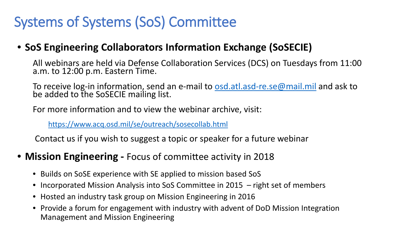## Systems of Systems (SoS) Committee

#### • **SoS Engineering Collaborators Information Exchange (SoSECIE)**

All webinars are held via Defense Collaboration Services (DCS) on Tuesdays from 11:00 a.m. to 12:00 p.m. Eastern Time.

To receive log-in information, send an e-mail to [osd.atl.asd-re.se@mail.mil](mailto:osd.atl.asd-re.se@mail.mil) and ask to be added to the SoSECIE mailing list.

For more information and to view the webinar archive, visit:

<https://www.acq.osd.mil/se/outreach/sosecollab.html>

Contact us if you wish to suggest a topic or speaker for a future webinar

- **Mission Engineering -** Focus of committee activity in 2018
	- Builds on SoSE experience with SE applied to mission based SoS
	- Incorporated Mission Analysis into SoS Committee in 2015 right set of members
	- Hosted an industry task group on Mission Engineering in 2016
	- Provide a forum for engagement with industry with advent of DoD Mission Integration Management and Mission Engineering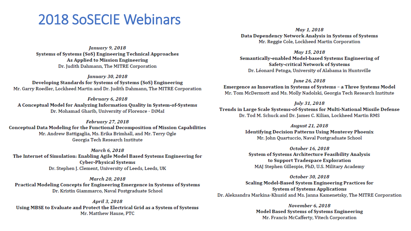#### **2018 SoSECIE Webinars**

**January 9, 2018** Systems of Systems (SoS) Engineering Technical Approaches As Applied to Mission Engineering Dr. Judith Dahmann, The MITRE Corporation

**January 30, 2018** Developing Standards for Systems of Systems (SoS) Engineering Mr. Garry Roedler, Lockheed Martin and Dr. Judith Dahmann, The MITRE Corporation

February 6, 2018 A Conceptual Model for Analyzing Information Quality in System-of-Systems Dr. Mohamad Gharib, University of Florence - DiMaI

February 27, 2018 Conceptual Data Modeling for the Functional Decomposition of Mission Capabilities Mr. Andrew Battigaglia, Ms. Erika Brimhall, and Mr. Terry Ogle Georgia Tech Research Institute

**March 6, 2018** The Internet of Simulation: Enabling Agile Model Based Systems Engineering for **Cyber-Physical Systems** Dr. Stephen J. Clement, University of Leeds, Leeds, UK

**March 20, 2018** Practical Modeling Concepts for Engineering Emergence in Systems of Systems Dr. Kristin Giammarco, Naval Postgraduate School

April 3, 2018 Using MBSE to Evaluate and Protect the Electrical Grid as a System of Systems Mr. Matthew Hause, PTC

May 1, 2018 Data Dependency Network Analysis in Systems of Systems Mr. Reggie Cole, Lockheed Martin Corporation

May 15, 2018 Semantically-enabled Model-based Systems Engineering of Safety-critical Network of Systems Dr. Léonard Petnga, University of Alabama in Huntsville

June 26, 2018 Emergence as Innovation in Systems of Systems - a Three Systems Model Mr. Tom McDermott and Ms. Molly Nadolski, Georgia Tech Research Institute

July 31, 2018 Trends in Large Scale Systems-of-Systems for Multi-National Missile Defense Dr. Tod M. Schuck and Dr. James C. Kilian, Lockheed Martin RMS

> **August 21, 2018 Identifying Decision Patterns Using Monterey Phoenix** Mr. John Quartuccio, Naval Postgraduate School

October 16, 2018 System of Systems Architecture Feasibility Analysis to Support Tradespace Exploration MAJ Stephen Gillespie, PhD, U.S. Military Academy

October 30, 2018 Scaling Model-Based System Engineering Practices for **System of Systems Applications** Dr. Aleksandra Markina-Khusid and Ms. Janna Kamenetsky, The MITRE Corporation

> **November 6, 2018 Model Based Systems of Systems Engineering** Mr. Francis McCafferty, Vitech Corporation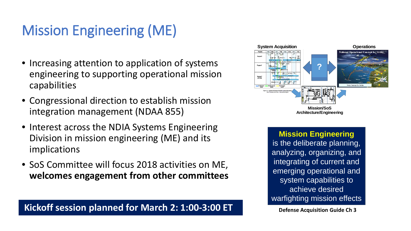# Mission Engineering (ME)

- Increasing attention to application of systems engineering to supporting operational mission capabilities
- Congressional direction to establish mission integration management (NDAA 855)
- Interest across the NDIA Systems Engineering Division in mission engineering (ME) and its implications
- SoS Committee will focus 2018 activities on ME, **welcomes engagement from other committees**

#### **Kickoff session planned for March 2: 1:00-3:00 ET** Defense Acquisition Guide Ch 3



 **Architecture/Engineering**

**Mission Engineering**  is the deliberate planning, analyzing, organizing, and integrating of current and emerging operational and system capabilities to achieve desired warfighting mission effects